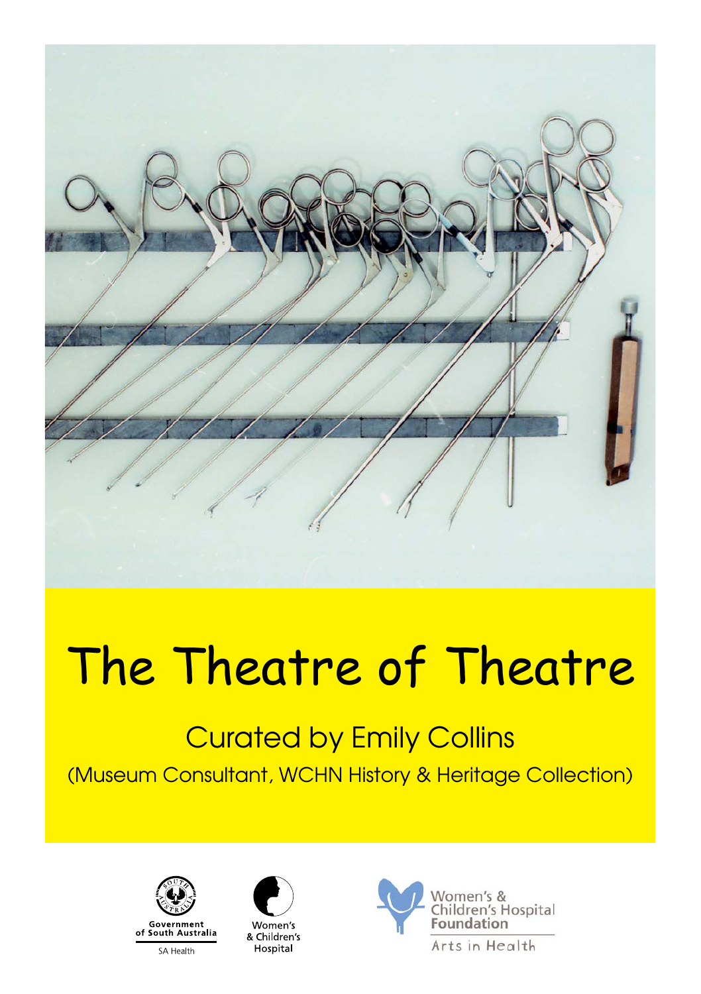

# The Theatre of Theatre

# Curated by Emily Collins

(Museum Consultant, WCHN History & Heritage Collection)





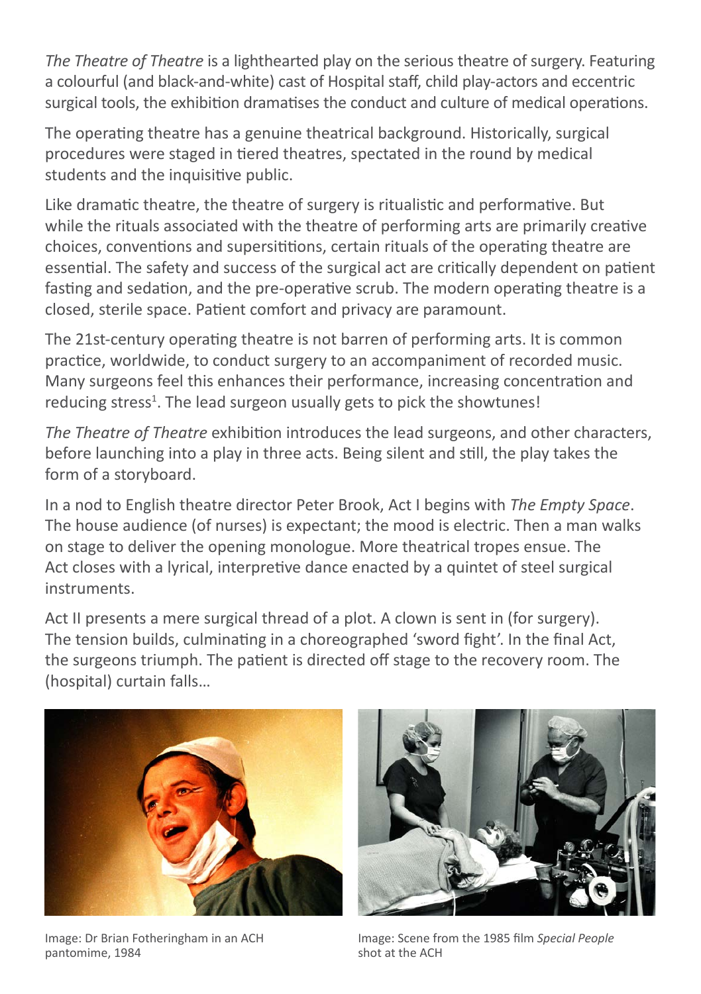*The Theatre of Theatre* is a lighthearted play on the serious theatre of surgery. Featuring a colourful (and black-and-white) cast of Hospital staff, child play-actors and eccentric surgical tools, the exhibition dramatises the conduct and culture of medical operations.

The operating theatre has a genuine theatrical background. Historically, surgical procedures were staged in tiered theatres, spectated in the round by medical students and the inquisitive public.

Like dramatic theatre, the theatre of surgery is ritualistic and performative. But while the rituals associated with the theatre of performing arts are primarily creative choices, conventions and supersititions, certain rituals of the operating theatre are essential. The safety and success of the surgical act are critically dependent on patient fasting and sedation, and the pre-operative scrub. The modern operating theatre is a closed, sterile space. Patient comfort and privacy are paramount.

The 21st-century operating theatre is not barren of performing arts. It is common practice, worldwide, to conduct surgery to an accompaniment of recorded music. Many surgeons feel this enhances their performance, increasing concentration and reducing stress<sup>1</sup>. The lead surgeon usually gets to pick the showtunes!

*The Theatre of Theatre* exhibition introduces the lead surgeons, and other characters, before launching into a play in three acts. Being silent and still, the play takes the form of a storyboard.

In a nod to English theatre director Peter Brook, Act I begins with *The Empty Space*. The house audience (of nurses) is expectant; the mood is electric. Then a man walks on stage to deliver the opening monologue. More theatrical tropes ensue. The Act closes with a lyrical, interpretive dance enacted by a quintet of steel surgical instruments.

Act II presents a mere surgical thread of a plot. A clown is sent in (for surgery). The tension builds, culminating in a choreographed 'sword fight'. In the final Act, the surgeons triumph. The patient is directed off stage to the recovery room. The (hospital) curtain falls…



Image: Dr Brian Fotheringham in an ACH pantomime, 1984



Image: Scene from the 1985 film *Special People* shot at the ACH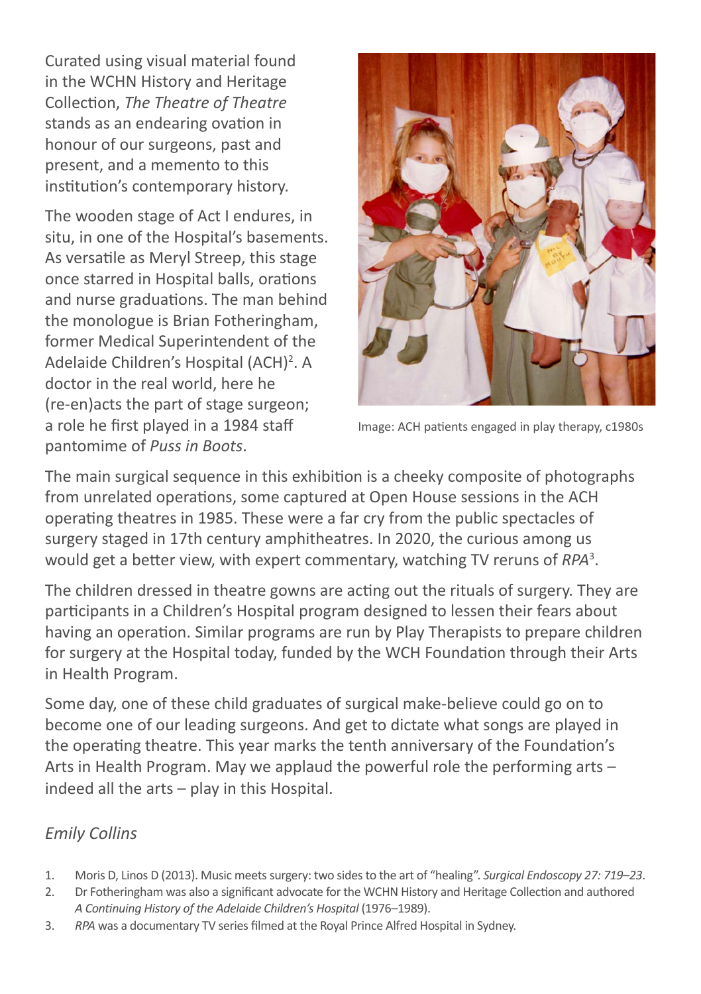Curated using visual material found in the WCHN History and Heritage Collection, *The Theatre of Theatre* stands as an endearing ovation in honour of our surgeons, past and present, and a memento to this institution's contemporary history.

The wooden stage of Act I endures, in situ, in one of the Hospital's basements. As versatile as Meryl Streep, this stage once starred in Hospital balls, orations and nurse graduations. The man behind the monologue is Brian Fotheringham, former Medical Superintendent of the Adelaide Children's Hospital (ACH)<sup>2</sup>. A doctor in the real world, here he (re-en)acts the part of stage surgeon; a role he first played in a 1984 staff pantomime of *Puss in Boots*.



Image: ACH patients engaged in play therapy, c1980s

The main surgical sequence in this exhibition is a cheeky composite of photographs from unrelated operations, some captured at Open House sessions in the ACH operating theatres in 1985. These were a far cry from the public spectacles of surgery staged in 17th century amphitheatres. In 2020, the curious among us would get a better view, with expert commentary, watching TV reruns of *RPA*<sup>3</sup> .

The children dressed in theatre gowns are acting out the rituals of surgery. They are participants in a Children's Hospital program designed to lessen their fears about having an operation. Similar programs are run by Play Therapists to prepare children for surgery at the Hospital today, funded by the WCH Foundation through their Arts in Health Program.

Some day, one of these child graduates of surgical make-believe could go on to become one of our leading surgeons. And get to dictate what songs are played in the operating theatre. This year marks the tenth anniversary of the Foundation's Arts in Health Program. May we applaud the powerful role the performing arts – indeed all the arts – play in this Hospital.

#### *Emily Collins*

- 1. Moris D, Linos D (2013). Music meets surgery: two sides to the art of "healing". *Surgical Endoscopy 27: 719–23*.
- 2. Dr Fotheringham was also a significant advocate for the WCHN History and Heritage Collection and authored *A Continuing History of the Adelaide Children's Hospital* (1976–1989).
- 3. *RPA* was a documentary TV series filmed at the Royal Prince Alfred Hospital in Sydney.